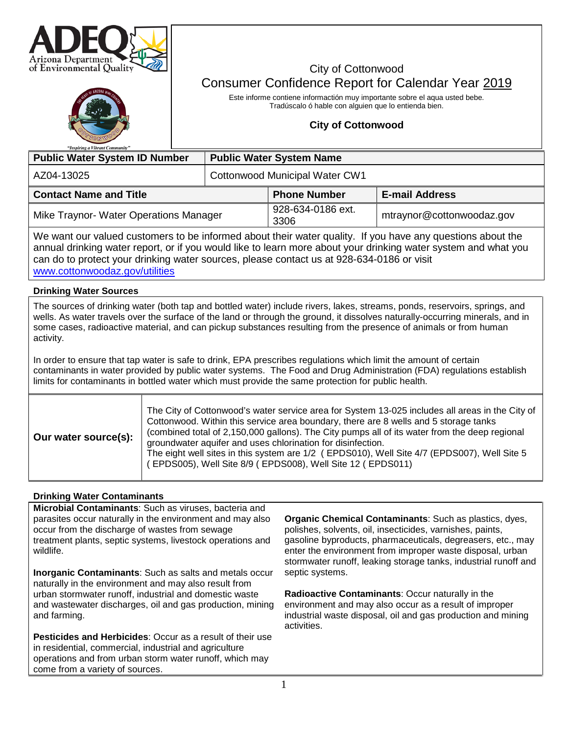



# City of Cottonwood Consumer Confidence Report for Calendar Year 2019

Este informe contiene informactión muy importante sobre el aqua usted bebe. Tradúscalo ó hable con alguien que lo entienda bien.

# **City of Cottonwood**

| <b>Public Water System ID Number</b>   | <b>Public Water System Name</b> |                           |                           |  |  |  |
|----------------------------------------|---------------------------------|---------------------------|---------------------------|--|--|--|
| AZ04-13025                             | Cottonwood Municipal Water CW1  |                           |                           |  |  |  |
| <b>Contact Name and Title</b>          |                                 | <b>Phone Number</b>       | <b>E-mail Address</b>     |  |  |  |
| Mike Traynor- Water Operations Manager |                                 | 928-634-0186 ext.<br>3306 | mtraynor@cottonwoodaz.gov |  |  |  |

We want our valued customers to be informed about their water quality. If you have any questions about the annual drinking water report, or if you would like to learn more about your drinking water system and what you can do to protect your drinking water sources, please contact us at 928-634-0186 or visit [www.cottonwoodaz.gov/utilities](http://www.cottonwoodaz.gov/utilities)

# **Drinking Water Sources**

The sources of drinking water (both tap and bottled water) include rivers, lakes, streams, ponds, reservoirs, springs, and wells. As water travels over the surface of the land or through the ground, it dissolves naturally-occurring minerals, and in some cases, radioactive material, and can pickup substances resulting from the presence of animals or from human activity.

In order to ensure that tap water is safe to drink, EPA prescribes regulations which limit the amount of certain contaminants in water provided by public water systems. The Food and Drug Administration (FDA) regulations establish limits for contaminants in bottled water which must provide the same protection for public health.

| Our water source(s): | The City of Cottonwood's water service area for System 13-025 includes all areas in the City of<br>Cottonwood. Within this service area boundary, there are 8 wells and 5 storage tanks<br>(combined total of 2,150,000 gallons). The City pumps all of its water from the deep regional<br>groundwater aquifer and uses chlorination for disinfection.<br>The eight well sites in this system are 1/2 (EPDS010), Well Site 4/7 (EPDS007), Well Site 5<br>(EPDS005), Well Site 8/9 (EPDS008), Well Site 12 (EPDS011) |
|----------------------|----------------------------------------------------------------------------------------------------------------------------------------------------------------------------------------------------------------------------------------------------------------------------------------------------------------------------------------------------------------------------------------------------------------------------------------------------------------------------------------------------------------------|
|----------------------|----------------------------------------------------------------------------------------------------------------------------------------------------------------------------------------------------------------------------------------------------------------------------------------------------------------------------------------------------------------------------------------------------------------------------------------------------------------------------------------------------------------------|

# **Drinking Water Contaminants**

**Microbial Contaminants**: Such as viruses, bacteria and parasites occur naturally in the environment and may also occur from the discharge of wastes from sewage treatment plants, septic systems, livestock operations and wildlife.

**Inorganic Contaminants**: Such as salts and metals occur naturally in the environment and may also result from urban stormwater runoff, industrial and domestic waste and wastewater discharges, oil and gas production, mining and farming.

**Pesticides and Herbicides**: Occur as a result of their use in residential, commercial, industrial and agriculture operations and from urban storm water runoff, which may come from a variety of sources.

**Organic Chemical Contaminants**: Such as plastics, dyes, polishes, solvents, oil, insecticides, varnishes, paints, gasoline byproducts, pharmaceuticals, degreasers, etc., may enter the environment from improper waste disposal, urban stormwater runoff, leaking storage tanks, industrial runoff and septic systems.

**Radioactive Contaminants**: Occur naturally in the environment and may also occur as a result of improper industrial waste disposal, oil and gas production and mining activities.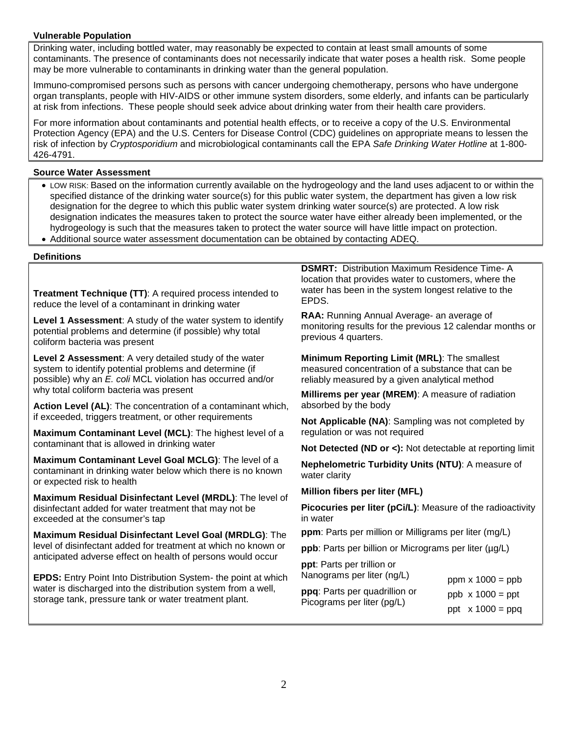# **Vulnerable Population**

Drinking water, including bottled water, may reasonably be expected to contain at least small amounts of some contaminants. The presence of contaminants does not necessarily indicate that water poses a health risk. Some people may be more vulnerable to contaminants in drinking water than the general population.

Immuno-compromised persons such as persons with cancer undergoing chemotherapy, persons who have undergone organ transplants, people with HIV-AIDS or other immune system disorders, some elderly, and infants can be particularly at risk from infections. These people should seek advice about drinking water from their health care providers.

For more information about contaminants and potential health effects, or to receive a copy of the U.S. Environmental Protection Agency (EPA) and the U.S. Centers for Disease Control (CDC) guidelines on appropriate means to lessen the risk of infection by *Cryptosporidium* and microbiological contaminants call the EPA *Safe Drinking Water Hotline* at 1-800- 426-4791.

### **Source Water Assessment**

- LOW RISK: Based on the information currently available on the hydrogeology and the land uses adjacent to or within the specified distance of the drinking water source(s) for this public water system, the department has given a low risk designation for the degree to which this public water system drinking water source(s) are protected. A low risk designation indicates the measures taken to protect the source water have either already been implemented, or the hydrogeology is such that the measures taken to protect the water source will have little impact on protection.
- Additional source water assessment documentation can be obtained by contacting ADEQ.

#### **Definitions**

**Treatment Technique (TT)**: A required process intended to reduce the level of a contaminant in drinking water

**Level 1 Assessment**: A study of the water system to identify potential problems and determine (if possible) why total coliform bacteria was present

**Level 2 Assessment**: A very detailed study of the water system to identify potential problems and determine (if possible) why an *E. coli* MCL violation has occurred and/or why total coliform bacteria was present

**Action Level (AL)**: The concentration of a contaminant which, if exceeded, triggers treatment, or other requirements

**Maximum Contaminant Level (MCL)**: The highest level of a contaminant that is allowed in drinking water

**Maximum Contaminant Level Goal MCLG)**: The level of a contaminant in drinking water below which there is no known or expected risk to health

**Maximum Residual Disinfectant Level (MRDL)**: The level of disinfectant added for water treatment that may not be exceeded at the consumer's tap

**Maximum Residual Disinfectant Level Goal (MRDLG)**: The level of disinfectant added for treatment at which no known or anticipated adverse effect on health of persons would occur

**EPDS:** Entry Point Into Distribution System- the point at which water is discharged into the distribution system from a well, storage tank, pressure tank or water treatment plant.

**DSMRT:** Distribution Maximum Residence Time- A location that provides water to customers, where the water has been in the system longest relative to the EPDS.

**RAA:** Running Annual Average- an average of monitoring results for the previous 12 calendar months or previous 4 quarters.

**Minimum Reporting Limit (MRL)**: The smallest measured concentration of a substance that can be reliably measured by a given analytical method

**Millirems per year (MREM)**: A measure of radiation absorbed by the body

**Not Applicable (NA)**: Sampling was not completed by regulation or was not required

**Not Detected (ND or <):** Not detectable at reporting limit

**Nephelometric Turbidity Units (NTU)**: A measure of water clarity

#### **Million fibers per liter (MFL)**

**Picocuries per liter (pCi/L)**: Measure of the radioactivity in water

**ppm**: Parts per million or Milligrams per liter (mg/L)

**ppb**: Parts per billion or Micrograms per liter ( $\mu$ g/L)

**ppt**: Parts per trillion or Nanograms per liter (ng/L) **ppq**: Parts per quadrillion or Picograms per liter (pg/L) ppm  $x 1000 = ppb$ ppb  $\times$  1000 = ppt

ppt  $x 1000 = ppq$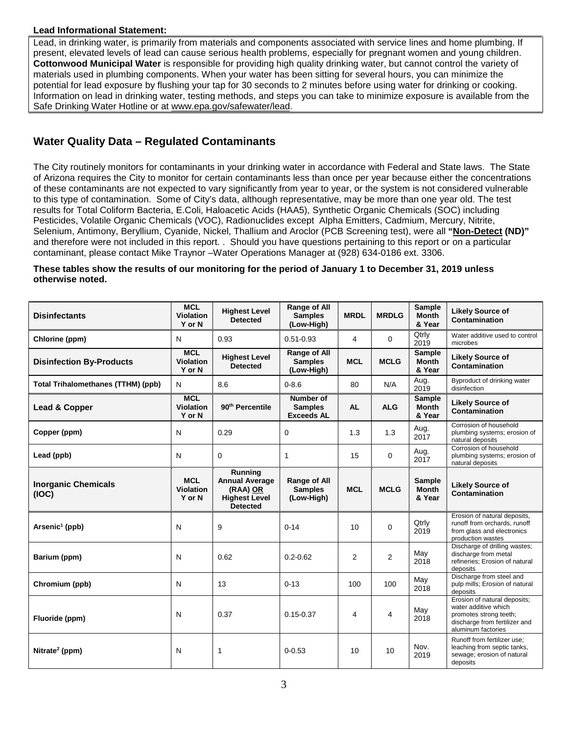# **Lead Informational Statement:**

Lead, in drinking water, is primarily from materials and components associated with service lines and home plumbing. If present, elevated levels of lead can cause serious health problems, especially for pregnant women and young children. **Cottonwood Municipal Water** is responsible for providing high quality drinking water, but cannot control the variety of materials used in plumbing components. When your water has been sitting for several hours, you can minimize the potential for lead exposure by flushing your tap for 30 seconds to 2 minutes before using water for drinking or cooking. Information on lead in drinking water, testing methods, and steps you can take to minimize exposure is available from the Safe Drinking Water Hotline or at [www.epa.gov/safewater/lead.](http://www.epa.gov/safewater/lead)

# **Water Quality Data – Regulated Contaminants**

The City routinely monitors for contaminants in your drinking water in accordance with Federal and State laws. The State of Arizona requires the City to monitor for certain contaminants less than once per year because either the concentrations of these contaminants are not expected to vary significantly from year to year, or the system is not considered vulnerable to this type of contamination. Some of City's data, although representative, may be more than one year old. The test results for Total Coliform Bacteria, E.Coli, Haloacetic Acids (HAA5), Synthetic Organic Chemicals (SOC) including Pesticides, Volatile Organic Chemicals (VOC), Radionuclides except Alpha Emitters, Cadmium, Mercury, Nitrite, Selenium, Antimony, Beryllium, Cyanide, Nickel, Thallium and Aroclor (PCB Screening test), were all **"Non-Detect (ND)"**  and therefore were not included in this report. . Should you have questions pertaining to this report or on a particular contaminant, please contact Mike Traynor –Water Operations Manager at (928) 634-0186 ext. 3306.

## **These tables show the results of our monitoring for the period of January 1 to December 31, 2019 unless otherwise noted.**

| <b>Disinfectants</b>                      | <b>MCL</b><br><b>Violation</b><br>Y or N | <b>Highest Level</b><br><b>Detected</b>                                                 | <b>Range of All</b><br><b>MRDL</b><br><b>Samples</b><br>(Low-High) |                         | <b>MRDLG</b>   | <b>Sample</b><br><b>Month</b><br>& Year | <b>Likely Source of</b><br>Contamination                                                                                              |
|-------------------------------------------|------------------------------------------|-----------------------------------------------------------------------------------------|--------------------------------------------------------------------|-------------------------|----------------|-----------------------------------------|---------------------------------------------------------------------------------------------------------------------------------------|
| Chlorine (ppm)                            | N                                        | 0.93                                                                                    | $0.51 - 0.93$                                                      | 4                       | $\Omega$       | Qtrly<br>2019                           | Water additive used to control<br>microbes                                                                                            |
| <b>Disinfection By-Products</b>           | <b>MCL</b><br>Violation<br>Y or N        | <b>Highest Level</b><br><b>Detected</b>                                                 | <b>Range of All</b><br><b>Samples</b><br><b>MCL</b><br>(Low-High)  |                         | <b>MCLG</b>    | <b>Sample</b><br><b>Month</b><br>& Year | <b>Likely Source of</b><br>Contamination                                                                                              |
| <b>Total Trihalomethanes (TTHM) (ppb)</b> | N                                        | 8.6                                                                                     | $0 - 8.6$                                                          | 80                      | N/A            | Aug.<br>2019                            | Byproduct of drinking water<br>disinfection                                                                                           |
| Lead & Copper                             | <b>MCL</b><br><b>Violation</b><br>Y or N | 90 <sup>th</sup> Percentile                                                             | Number of<br><b>Samples</b><br><b>Exceeds AL</b>                   | <b>AL</b><br><b>ALG</b> |                | <b>Sample</b><br><b>Month</b><br>& Year | <b>Likely Source of</b><br>Contamination                                                                                              |
| Copper (ppm)                              | N                                        | 0.29                                                                                    | 1.3<br>0                                                           |                         | 1.3            | Aug.<br>2017                            | Corrosion of household<br>plumbing systems; erosion of<br>natural deposits                                                            |
| Lead (ppb)                                | N                                        | 0                                                                                       | 1<br>15                                                            |                         | $\mathbf 0$    | Aug.<br>2017                            | Corrosion of household<br>plumbing systems; erosion of<br>natural deposits                                                            |
| <b>Inorganic Chemicals</b><br>(IOC)       | <b>MCL</b><br><b>Violation</b><br>Y or N | Running<br><b>Annual Average</b><br>(RAA) OR<br><b>Highest Level</b><br><b>Detected</b> | Range of All<br><b>Samples</b><br><b>MCL</b><br>(Low-High)         |                         | <b>MCLG</b>    | <b>Sample</b><br><b>Month</b><br>& Year | <b>Likely Source of</b><br>Contamination                                                                                              |
| Arsenic <sup>1</sup> (ppb)                | N                                        | 9                                                                                       | $0 - 14$                                                           | 10                      | $\Omega$       | Qtrly<br>2019                           | Erosion of natural deposits,<br>runoff from orchards, runoff<br>from glass and electronics<br>production wastes                       |
| Barium (ppm)                              | N                                        | 0.62                                                                                    | $0.2 - 0.62$                                                       | 2                       | $\overline{2}$ | May<br>2018                             | Discharge of drilling wastes;<br>discharge from metal<br>refineries; Erosion of natural<br>deposits                                   |
| Chromium (ppb)                            | N                                        | 13                                                                                      | $0 - 13$                                                           | 100                     | 100            | May<br>2018                             | Discharge from steel and<br>pulp mills; Erosion of natural<br>deposits                                                                |
| Fluoride (ppm)                            | N                                        | 0.37                                                                                    | $0.15 - 0.37$                                                      | 4                       | 4              | May<br>2018                             | Erosion of natural deposits;<br>water additive which<br>promotes strong teeth;<br>discharge from fertilizer and<br>aluminum factories |
| Nitrate <sup>2</sup> (ppm)                | N                                        | $\mathbf{1}$                                                                            | $0 - 0.53$                                                         | 10                      | 10             | Nov.<br>2019                            | Runoff from fertilizer use:<br>leaching from septic tanks,<br>sewage; erosion of natural<br>deposits                                  |